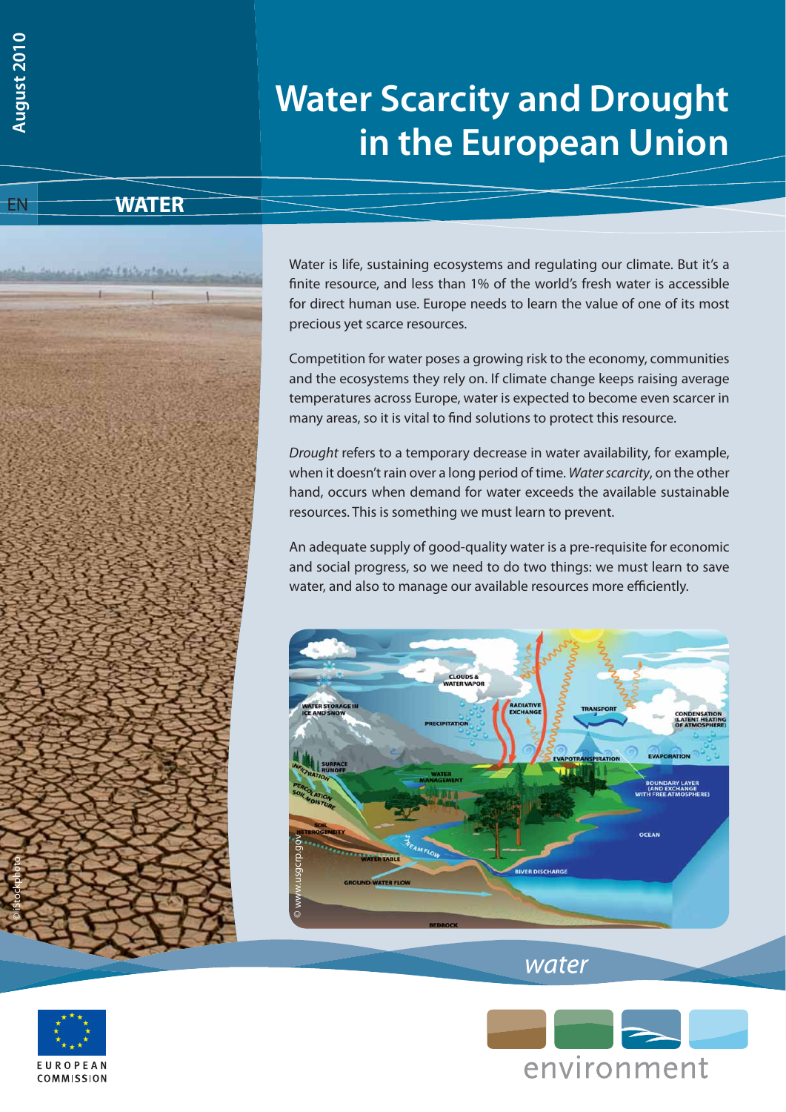# **Water Scarcity and Drought in the European Union**

**WATER**



Water is life, sustaining ecosystems and regulating our climate. But it's a finite resource, and less than 1% of the world's fresh water is accessible for direct human use. Europe needs to learn the value of one of its most precious yet scarce resources.

Competition for water poses a growing risk to the economy, communities and the ecosystems they rely on. If climate change keeps raising average temperatures across Europe, water is expected to become even scarcer in many areas, so it is vital to find solutions to protect this resource.

Drought refers to a temporary decrease in water availability, for example, when it doesn't rain over a long period of time. Water scarcity, on the other hand, occurs when demand for water exceeds the available sustainable resources. This is something we must learn to prevent.

An adequate supply of good-quality water is a pre-requisite for economic and social progress, so we need to do two things: we must learn to save water, and also to manage our available resources more efficiently.







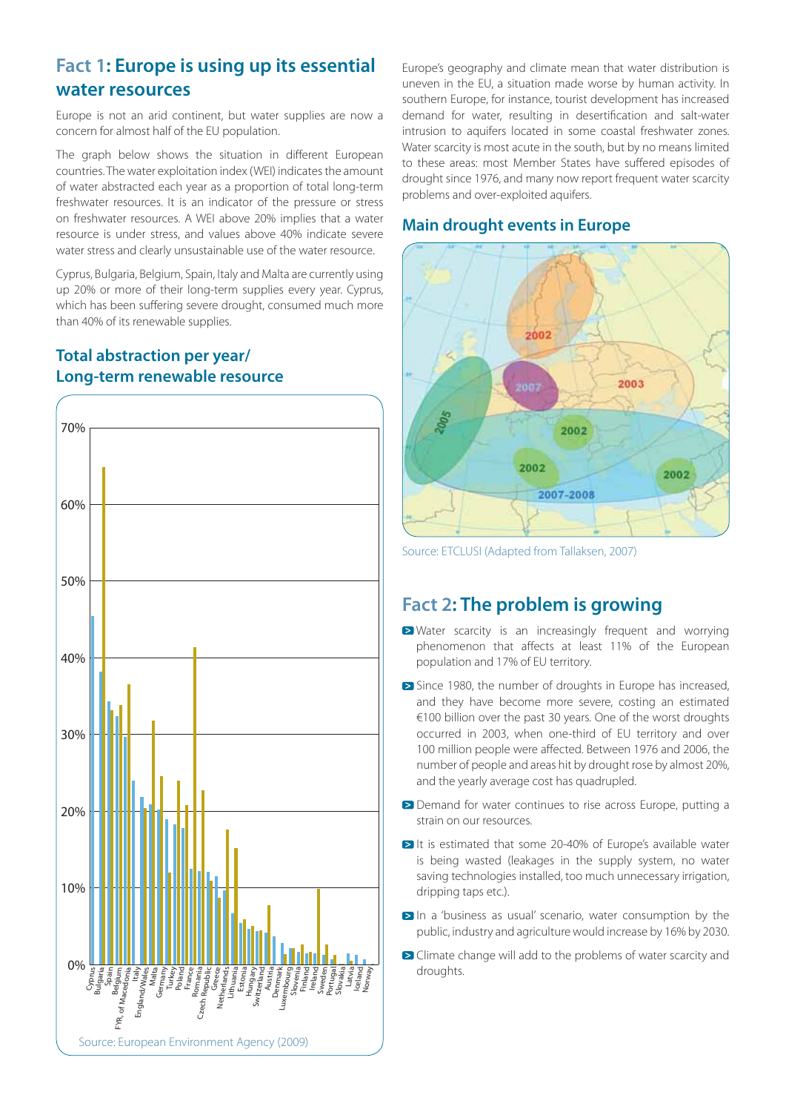#### **Fact 1: Europe is using up its essential water resources**

Europe is not an arid continent, but water supplies are now a concern for almost half of the EU population.

The graph below shows the situation in different European countries. The water exploitation index (WEI) indicates the amount of water abstracted each year as a proportion of total long-term freshwater resources. It is an indicator of the pressure or stress on freshwater resources. A WEI above 20% implies that a water resource is under stress, and values above 40% indicate severe water stress and clearly unsustainable use of the water resource.

Cyprus, Bulgaria, Belgium, Spain, Italy and Malta are currently using up 20% or more of their long-term supplies every year. Cyprus, which has been suffering severe drought, consumed much more than 40% of its renewable supplies.

#### **Total abstraction per year/ Long-term renewable resource**



Europe's geography and climate mean that water distribution is uneven in the EU, a situation made worse by human activity. In southern Europe, for instance, tourist development has increased demand for water, resulting in desertification and salt-water intrusion to aquifers located in some coastal freshwater zones. Water scarcity is most acute in the south, but by no means limited to these areas: most Member States have suffered episodes of drought since 1976, and many now report frequent water scarcity problems and over-exploited aquifers.

#### **Main drought events in Europe**



Source: ETCLUSI (Adapted from Tallaksen, 2007)

## **Fact 2: The problem is growing**

- **EX** Water scarcity is an increasingly frequent and worrying phenomenon that affects at least 11% of the European population and 17% of EU territory.
- Since 1980, the number of droughts in Europe has increased, and they have become more severe, costing an estimated €100 billion over the past 30 years. One of the worst droughts occurred in 2003, when one-third of EU territory and over 100 million people were affected. Between 1976 and 2006, the number of people and areas hit by drought rose by almost 20%, and the yearly average cost has quadrupled.
- Demand for water continues to rise across Europe, putting a strain on our resources.
- It is estimated that some 20-40% of Europe's available water is being wasted (leakages in the supply system, no water saving technologies installed, too much unnecessary irrigation, dripping taps etc.).
- In a 'business as usual' scenario, water consumption by the public, industry and agriculture would increase by 16% by 2030.
- **D** Climate change will add to the problems of water scarcity and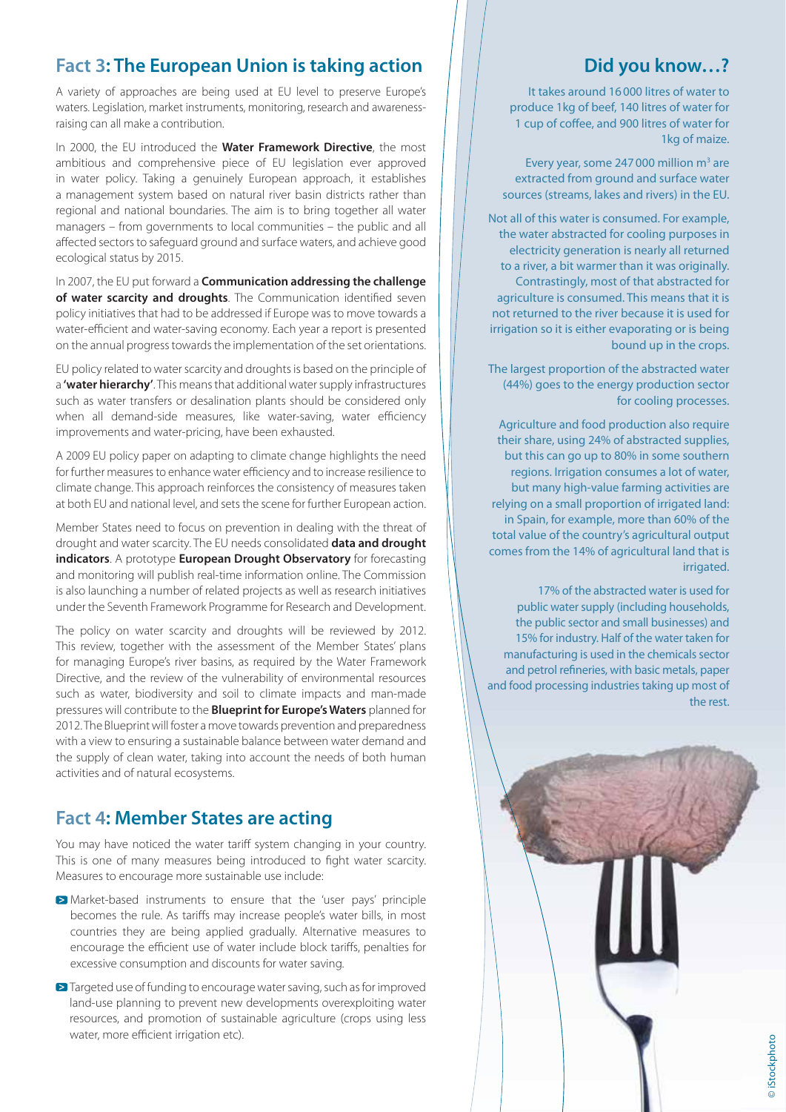## **Fact 3: The European Union is taking action**

A variety of approaches are being used at EU level to preserve Europe's waters. Legislation, market instruments, monitoring, research and awarenessraising can all make a contribution.

In 2000, the EU introduced the **Water Framework Directive**, the most ambitious and comprehensive piece of EU legislation ever approved in water policy. Taking a genuinely European approach, it establishes a management system based on natural river basin districts rather than regional and national boundaries. The aim is to bring together all water managers – from governments to local communities – the public and all affected sectors to safeguard ground and surface waters, and achieve good ecological status by 2015.

In 2007, the EU put forward a **Communication addressing the challenge**  of water scarcity and droughts. The Communication identified seven policy initiatives that had to be addressed if Europe was to move towards a water-efficient and water-saving economy. Each year a report is presented on the annual progress towards the implementation of the set orientations.

EU policy related to water scarcity and droughts is based on the principle of a **'water hierarchy'**. This means that additional water supply infrastructures such as water transfers or desalination plants should be considered only when all demand-side measures, like water-saving, water efficiency improvements and water-pricing, have been exhausted.

A 2009 EU policy paper on adapting to climate change highlights the need for further measures to enhance water efficiency and to increase resilience to climate change. This approach reinforces the consistency of measures taken at both EU and national level, and sets the scene for further European action.

Member States need to focus on prevention in dealing with the threat of drought and water scarcity. The EU needs consolidated **data and drought indicators**. A prototype **European Drought Observatory** for forecasting and monitoring will publish real-time information online. The Commission is also launching a number of related projects as well as research initiatives under the Seventh Framework Programme for Research and Development.

The policy on water scarcity and droughts will be reviewed by 2012. This review, together with the assessment of the Member States' plans for managing Europe's river basins, as required by the Water Framework Directive, and the review of the vulnerability of environmental resources such as water, biodiversity and soil to climate impacts and man-made pressures will contribute to the **Blueprint for Europe's Waters** planned for 2012. The Blueprint will foster a move towards prevention and preparedness with a view to ensuring a sustainable balance between water demand and the supply of clean water, taking into account the needs of both human activities and of natural ecosystems.

#### **Fact 4: Member States are acting**

You may have noticed the water tariff system changing in your country. This is one of many measures being introduced to fight water scarcity. Measures to encourage more sustainable use include:

- Market-based instruments to ensure that the 'user pays' principle becomes the rule. As tariffs may increase people's water bills, in most countries they are being applied gradually. Alternative measures to encourage the efficient use of water include block tariffs, penalties for excessive consumption and discounts for water saving.
- **■** Targeted use of funding to encourage water saving, such as for improved land-use planning to prevent new developments overexploiting water resources, and promotion of sustainable agriculture (crops using less water, more efficient irrigation etc).

## **Did you know…?**

It takes around 16 000 litres of water to produce 1kg of beef, 140 litres of water for 1 cup of coffee, and 900 litres of water for 1kg of maize.

Every year, some 247 000 million  $m<sup>3</sup>$  are extracted from ground and surface water sources (streams, lakes and rivers) in the EU.

Not all of this water is consumed. For example, the water abstracted for cooling purposes in electricity generation is nearly all returned to a river, a bit warmer than it was originally. Contrastingly, most of that abstracted for agriculture is consumed. This means that it is not returned to the river because it is used for irrigation so it is either evaporating or is being bound up in the crops.

The largest proportion of the abstracted water (44%) goes to the energy production sector for cooling processes.

Agriculture and food production also require their share, using 24% of abstracted supplies, but this can go up to 80% in some southern regions. Irrigation consumes a lot of water, but many high-value farming activities are relying on a small proportion of irrigated land: in Spain, for example, more than 60% of the total value of the country's agricultural output comes from the 14% of agricultural land that is irrigated.

17% of the abstracted water is used for public water supply (including households, the public sector and small businesses) and 15% for industry. Half of the water taken for manufacturing is used in the chemicals sector and petrol refineries, with basic metals, paper and food processing industries taking up most of the rest.